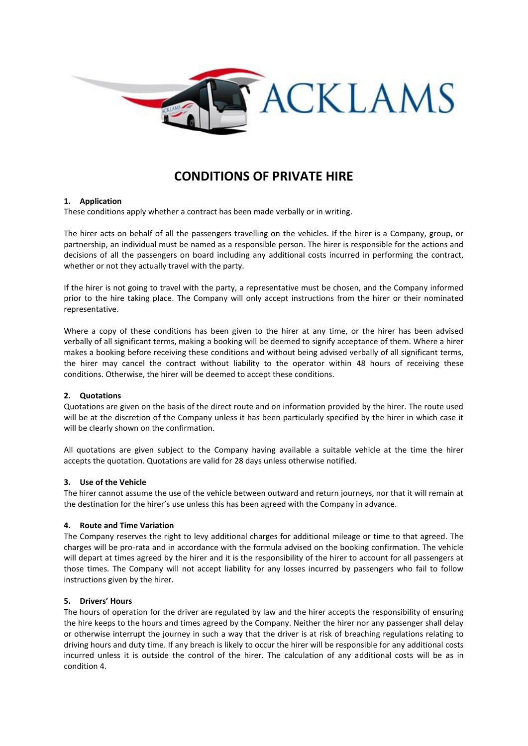

# **CONDITIONS OF PRIVATE HIRE**

## **1. Application**

These conditions apply whether a contract has been made verbally or in writing.

The hirer acts on behalf of all the passengers travelling on the vehicles. If the hirer is a Company, group, or partnership, an individual must be named as a responsible person. The hirer is responsible for the actions and decisions of all the passengers on board including any additional costs incurred in performing the contract, whether or not they actually travel with the party.

If the hirer is not going to travel with the party, a representative must be chosen, and the Company informed prior to the hire taking place. The Company will only accept instructions from the hirer or their nominated representative.

Where a copy of these conditions has been given to the hirer at any time, or the hirer has been advised verbally of all significant terms, making a booking will be deemed to signify acceptance of them. Where a hirer makes a booking before receiving these conditions and without being advised verbally of all significant terms, the hirer may cancel the contract without liability to the operator within 48 hours of receiving these conditions. Otherwise, the hirer will be deemed to accept these conditions.

## **2. Quotations**

Quotations are given on the basis of the direct route and on information provided by the hirer. The route used will be at the discretion of the Company unless it has been particularly specified by the hirer in which case it will be clearly shown on the confirmation.

All quotations are given subject to the Company having available a suitable vehicle at the time the hirer accepts the quotation. Quotations are valid for 28 days unless otherwise notified.

## **3. Use of the Vehicle**

The hirer cannot assume the use of the vehicle between outward and return journeys, nor that it will remain at the destination for the hirer's use unless this has been agreed with the Company in advance.

## **4. Route and Time Variation**

The Company reserves the right to levy additional charges for additional mileage or time to that agreed. The charges will be pro-rata and in accordance with the formula advised on the booking confirmation. The vehicle will depart at times agreed by the hirer and it is the responsibility of the hirer to account for all passengers at those times. The Company will not accept liability for any losses incurred by passengers who fail to follow instructions given by the hirer.

## **5. Drivers' Hours**

The hours of operation for the driver are regulated by law and the hirer accepts the responsibility of ensuring the hire keeps to the hours and times agreed by the Company. Neither the hirer nor any passenger shall delay or otherwise interrupt the journey in such a way that the driver is at risk of breaching regulations relating to driving hours and duty time. If any breach is likely to occur the hirer will be responsible for any additional costs incurred unless it is outside the control of the hirer. The calculation of any additional costs will be as in condition 4.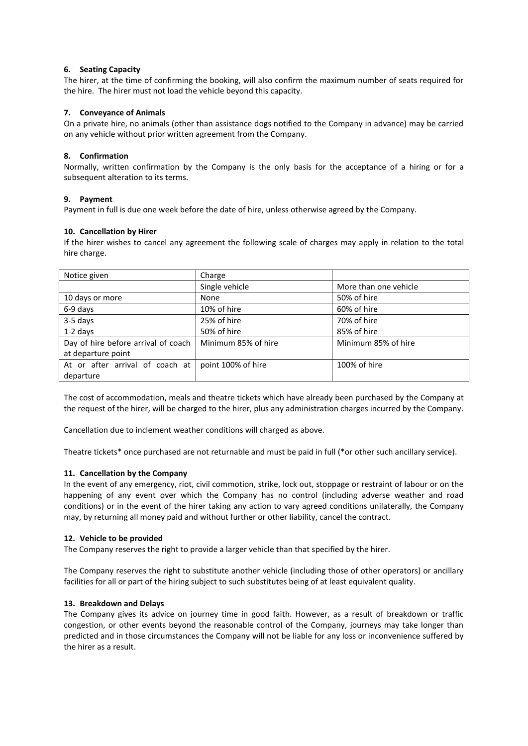## **6. Seating Capacity**

The hirer, at the time of confirming the booking, will also confirm the maximum number of seats required for the hire. The hirer must not load the vehicle beyond this capacity.

## **7. Conveyance of Animals**

On a private hire, no animals (other than assistance dogs notified to the Company in advance) may be carried on any vehicle without prior written agreement from the Company.

## **8. Confirmation**

Normally, written confirmation by the Company is the only basis for the acceptance of a hiring or for a subsequent alteration to its terms.

## **9. Payment**

Payment in full is due one week before the date of hire, unless otherwise agreed by the Company.

## **10. Cancellation by Hirer**

If the hirer wishes to cancel any agreement the following scale of charges may apply in relation to the total hire charge.

| Notice given                        | Charge              |                       |
|-------------------------------------|---------------------|-----------------------|
|                                     | Single vehicle      | More than one vehicle |
| 10 days or more                     | None                | 50% of hire           |
| 6-9 days                            | 10% of hire         | 60% of hire           |
| 3-5 days                            | 25% of hire         | 70% of hire           |
| $1-2$ days                          | 50% of hire         | 85% of hire           |
| Day of hire before arrival of coach | Minimum 85% of hire | Minimum 85% of hire   |
| at departure point                  |                     |                       |
| At or after arrival of coach at     | point 100% of hire  | 100% of hire          |
| departure                           |                     |                       |

The cost of accommodation, meals and theatre tickets which have already been purchased by the Company at the request of the hirer, will be charged to the hirer, plus any administration charges incurred by the Company.

Cancellation due to inclement weather conditions will charged as above.

Theatre tickets\* once purchased are not returnable and must be paid in full (\*or other such ancillary service).

## **11. Cancellation by the Company**

In the event of any emergency, riot, civil commotion, strike, lock out, stoppage or restraint of labour or on the happening of any event over which the Company has no control (including adverse weather and road conditions) or in the event of the hirer taking any action to vary agreed conditions unilaterally, the Company may, by returning all money paid and without further or other liability, cancel the contract.

#### **12. Vehicle to be provided**

The Company reserves the right to provide a larger vehicle than that specified by the hirer.

The Company reserves the right to substitute another vehicle (including those of other operators) or ancillary facilities for all or part of the hiring subject to such substitutes being of at least equivalent quality.

## **13. Breakdown and Delays**

The Company gives its advice on journey time in good faith. However, as a result of breakdown or traffic congestion, or other events beyond the reasonable control of the Company, journeys may take longer than predicted and in those circumstances the Company will not be liable for any loss or inconvenience suffered by the hirer as a result.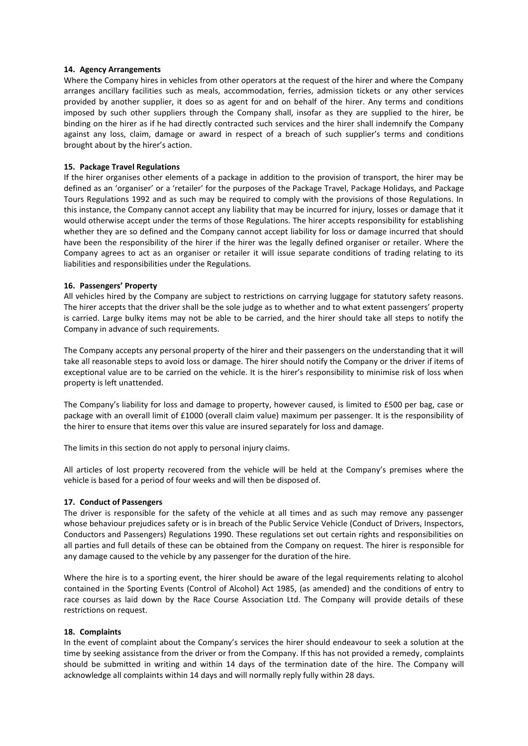## **14. Agency Arrangements**

Where the Company hires in vehicles from other operators at the request of the hirer and where the Company arranges ancillary facilities such as meals, accommodation, ferries, admission tickets or any other services provided by another supplier, it does so as agent for and on behalf of the hirer. Any terms and conditions imposed by such other suppliers through the Company shall, insofar as they are supplied to the hirer, be binding on the hirer as if he had directly contracted such services and the hirer shall indemnify the Company against any loss, claim, damage or award in respect of a breach of such supplier's terms and conditions brought about by the hirer's action.

## **15. Package Travel Regulations**

If the hirer organises other elements of a package in addition to the provision of transport, the hirer may be defined as an 'organiser' or a 'retailer' for the purposes of the Package Travel, Package Holidays, and Package Tours Regulations 1992 and as such may be required to comply with the provisions of those Regulations. In this instance, the Company cannot accept any liability that may be incurred for injury, losses or damage that it would otherwise accept under the terms of those Regulations. The hirer accepts responsibility for establishing whether they are so defined and the Company cannot accept liability for loss or damage incurred that should have been the responsibility of the hirer if the hirer was the legally defined organiser or retailer. Where the Company agrees to act as an organiser or retailer it will issue separate conditions of trading relating to its liabilities and responsibilities under the Regulations.

## **16. Passengers' Property**

All vehicles hired by the Company are subject to restrictions on carrying luggage for statutory safety reasons. The hirer accepts that the driver shall be the sole judge as to whether and to what extent passengers' property is carried. Large bulky items may not be able to be carried, and the hirer should take all steps to notify the Company in advance of such requirements.

The Company accepts any personal property of the hirer and their passengers on the understanding that it will take all reasonable steps to avoid loss or damage. The hirer should notify the Company or the driver if items of exceptional value are to be carried on the vehicle. It is the hirer's responsibility to minimise risk of loss when property is left unattended.

The Company's liability for loss and damage to property, however caused, is limited to £500 per bag, case or package with an overall limit of £1000 (overall claim value) maximum per passenger. It is the responsibility of the hirer to ensure that items over this value are insured separately for loss and damage.

The limits in this section do not apply to personal injury claims.

All articles of lost property recovered from the vehicle will be held at the Company's premises where the vehicle is based for a period of four weeks and will then be disposed of.

## **17. Conduct of Passengers**

The driver is responsible for the safety of the vehicle at all times and as such may remove any passenger whose behaviour prejudices safety or is in breach of the Public Service Vehicle (Conduct of Drivers, Inspectors, Conductors and Passengers) Regulations 1990. These regulations set out certain rights and responsibilities on all parties and full details of these can be obtained from the Company on request. The hirer is responsible for any damage caused to the vehicle by any passenger for the duration of the hire.

Where the hire is to a sporting event, the hirer should be aware of the legal requirements relating to alcohol contained in the Sporting Events (Control of Alcohol) Act 1985, (as amended) and the conditions of entry to race courses as laid down by the Race Course Association Ltd. The Company will provide details of these restrictions on request.

#### **18. Complaints**

In the event of complaint about the Company's services the hirer should endeavour to seek a solution at the time by seeking assistance from the driver or from the Company. If this has not provided a remedy, complaints should be submitted in writing and within 14 days of the termination date of the hire. The Company will acknowledge all complaints within 14 days and will normally reply fully within 28 days.